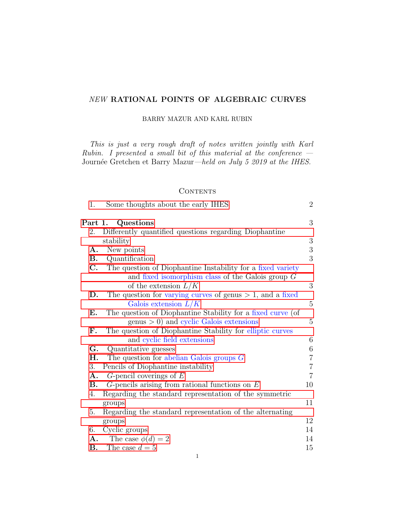# <span id="page-0-0"></span>NEW RATIONAL POINTS OF ALGEBRAIC CURVES

BARRY MAZUR AND KARL RUBIN

This is just a very rough draft of notes written jointly with Karl Rubin. I presented a small bit of this material at the conference  $-$ Journée Gretchen et Barry Mazur—held on July 5 2019 at the IHES.

### **CONTENTS**

| 1.             | Some thoughts about the early IHES                                  | $\overline{2}$        |
|----------------|---------------------------------------------------------------------|-----------------------|
|                | Part 1. Questions                                                   | 3                     |
| 2.             | Differently quantified questions regarding Diophantine<br>stability | 3                     |
|                |                                                                     |                       |
| $\mathbf{A}$ . | New points                                                          | $\boldsymbol{3}$<br>3 |
| В.             | Quantification                                                      |                       |
| $\mathbf{C}$ . | The question of Diophantine Instability for a fixed variety         |                       |
|                | and fixed isomorphism class of the Galois group $G$                 |                       |
|                | of the extension $L/K$                                              | 3                     |
| D.             | The question for varying curves of genus $> 1$ , and a fixed        |                       |
|                | Galois extension $L/K$                                              | $\overline{5}$        |
| Ε.             | The question of Diophantine Stability for a fixed curve (of         |                       |
|                | $\gamma$ genus $> 0$ ) and cyclic Galois extensions                 | 5                     |
| F.             | The question of Diophantine Stability for elliptic curves           |                       |
|                | and cyclic field extensions                                         | 6                     |
| G.             | Quantitative guesses                                                | $6\,$                 |
| H.             | The question for abelian Galois groups $G$                          | $\overline{7}$        |
| 3.             | Pencils of Diophantine instability                                  | $\overline{7}$        |
| A.             | $G$ -pencil coverings of $E$                                        | $\overline{7}$        |
| <b>B.</b>      | $G$ -pencils arising from rational functions on $E$                 | 10                    |
| 4.             | Regarding the standard representation of the symmetric              |                       |
|                | groups                                                              | 11                    |
| 5.             | Regarding the standard representation of the alternating            |                       |
|                | groups                                                              | 12                    |
| 6.             | Cyclic groups                                                       | 14                    |
| A.             | The case $\phi(d) = 2$                                              | 14                    |
| В.             | The case $d=5$                                                      | 15                    |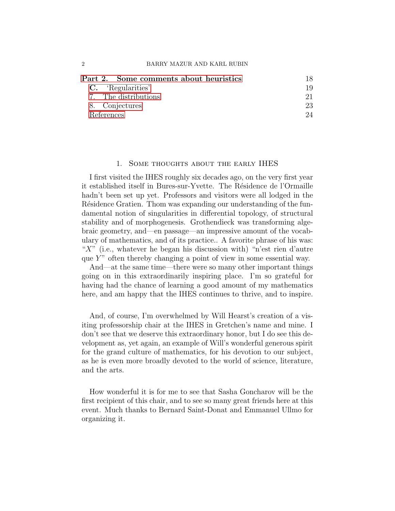| Part 2. Some comments about heuristics |     |
|----------------------------------------|-----|
| C. 'Regularities'                      | 19  |
| 7. The distributions                   | 21. |
| 8. Conjectures                         | 23  |
| References                             | 94. |

### 1. Some thoughts about the early IHES

<span id="page-1-0"></span>I first visited the IHES roughly six decades ago, on the very first year it established itself in Bures-sur-Yvette. The Résidence de l'Ormaille hadn't been set up yet. Professors and visitors were all lodged in the Résidence Gratien. Thom was expanding our understanding of the fundamental notion of singularities in differential topology, of structural stability and of morphogenesis. Grothendieck was transforming algebraic geometry, and—en passage—an impressive amount of the vocabulary of mathematics, and of its practice.. A favorite phrase of his was: " $X$ " (i.e., whatever he began his discussion with) "n'est rien d'autre que  $Y$ " often thereby changing a point of view in some essential way.

And—at the same time—there were so many other important things going on in this extraordinarily inspiring place. I'm so grateful for having had the chance of learning a good amount of my mathematics here, and am happy that the IHES continues to thrive, and to inspire.

And, of course, I'm overwhelmed by Will Hearst's creation of a visiting professorship chair at the IHES in Gretchen's name and mine. I don't see that we deserve this extraordinary honor, but I do see this development as, yet again, an example of Will's wonderful generous spirit for the grand culture of mathematics, for his devotion to our subject, as he is even more broadly devoted to the world of science, literature, and the arts.

How wonderful it is for me to see that Sasha Goncharov will be the first recipient of this chair, and to see so many great friends here at this event. Much thanks to Bernard Saint-Donat and Emmanuel Ullmo for organizing it.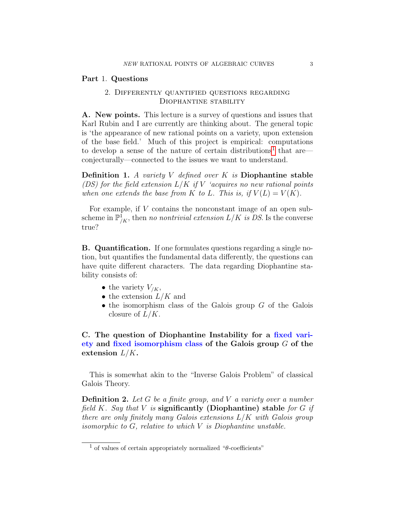#### <span id="page-2-1"></span><span id="page-2-0"></span>Part 1. Questions

# 2. Differently quantified questions regarding Diophantine stability

<span id="page-2-2"></span>A. New points. This lecture is a survey of questions and issues that Karl Rubin and I are currently are thinking about. The general topic is 'the appearance of new rational points on a variety, upon extension of the base field.' Much of this project is empirical: computations to develop a sense of the nature of certain distributions<sup>[1](#page-2-5)</sup> that are conjecturally—connected to the issues we want to understand.

**Definition 1.** A variety V defined over K is Diophantine stable (DS) for the field extension  $L/K$  if V 'acquires no new rational points when one extends the base from K to L. This is, if  $V(L) = V(K)$ .

For example, if V contains the nonconstant image of an open subscheme in  $\mathbb{P}^{\bar{1}}_{/K}$ , then no nontrivial extension  $L/K$  is DS. Is the converse true?

<span id="page-2-3"></span>B. Quantification. If one formulates questions regarding a single notion, but quantifies the fundamental data differently, the questions can have quite different characters. The data regarding Diophantine stability consists of:

- the variety  $V_{/K}$ ,
- the extension  $L/K$  and
- $\bullet$  the isomorphism class of the Galois group  $G$  of the Galois closure of  $L/K$ .

# <span id="page-2-4"></span>C. The question of Diophantine Instability for a fixed variety and fixed isomorphism class of the Galois group  $G$  of the extension  $L/K$ .

This is somewhat akin to the "Inverse Galois Problem" of classical Galois Theory.

<span id="page-2-6"></span>**Definition 2.** Let G be a finite group, and V a variety over a number field K. Say that V is significantly (Diophantine) stable for G if there are only finitely many Galois extensions  $L/K$  with Galois group isomorphic to  $G$ , relative to which  $V$  is Diophantine unstable.

<span id="page-2-5"></span><sup>&</sup>lt;sup>1</sup> of values of certain appropriately normalized " $\theta$ -coefficients"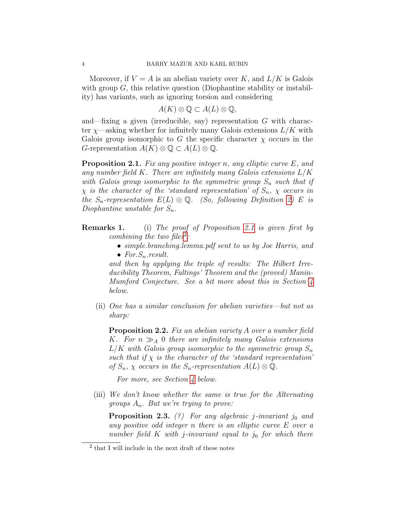Moreover, if  $V = A$  is an abelian variety over K, and  $L/K$  is Galois with group  $G$ , this relative question (Diophantine stability or instability) has variants, such as ignoring torsion and considering

 $A(K) \otimes \mathbb{Q} \subset A(L) \otimes \mathbb{Q},$ 

and—fixing a given (irreducible, say) representation  $G$  with character  $\chi$ —asking whether for infinitely many Galois extensions  $L/K$  with Galois group isomorphic to G the specific character  $\chi$  occurs in the G-representation  $A(K) \otimes \mathbb{Q} \subset A(L) \otimes \mathbb{Q}$ .

<span id="page-3-0"></span>**Proposition 2.1.** Fix any positive integer n, any elliptic curve E, and any number field K. There are infinitely many Galois extensions  $L/K$ with Galois group isomorphic to the symmetric group  $S_n$  such that if  $\chi$  is the character of the 'standard representation' of  $S_n$ ,  $\chi$  occurs in the  $S_n$ -representation  $E(L) \otimes \mathbb{Q}$ . (So, following Definition [2\)](#page-2-6) E is Diophantine unstable for  $S_n$ .

- Remarks 1. (i) The proof of Proposition [2.1](#page-3-0) is given first by combining the two files<sup>[2](#page-3-1)</sup>:
	- simple.branching.lemma.pdf sent to us by Joe Harris, and • For.  $S_n$  result.

and then by applying the triple of results: The Hilbert Irreducibility Theorem, Faltings' Theorem and the (proved) Manin-Mumford Conjecture. See a bit more about this in Section [4](#page-10-0) below.

(ii) One has a similar conclusion for abelian varieties—but not as sharp:

<span id="page-3-2"></span>**Proposition 2.2.** Fix an abelian variety A over a number field K. For  $n \gg_A 0$  there are infinitely many Galois extensions  $L/K$  with Galois group isomorphic to the symmetric group  $S_n$ such that if  $\chi$  is the character of the 'standard representation' of  $S_n$ ,  $\chi$  occurs in the  $S_n$ -representation  $A(L) \otimes \mathbb{Q}$ .

For more, see Section [4](#page-10-0) below.

(iii) We don't know whether the same is true for the Alternating groups  $A_n$ . But we're trying to prove:

<span id="page-3-3"></span>**Proposition 2.3.** (?) For any algebraic j-invariant  $j_0$  and any positive odd integer n there is an elliptic curve E over a number field  $K$  with j-invariant equal to j<sub>0</sub> for which there

<span id="page-3-1"></span><sup>2</sup> that I will include in the next draft of these notes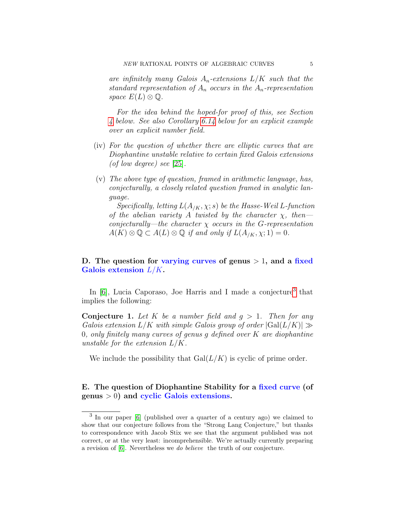are infinitely many Galois  $A_n$ -extensions  $L/K$  such that the standard representation of  $A_n$  occurs in the  $A_n$ -representation space  $E(L) \otimes \mathbb{Q}$ .

For the idea behind the hoped-for proof of this, see Section [4](#page-10-0) below. See also Corollary [6.14](#page-17-1) below for an explicit example over an explicit number field.

- (iv) For the question of whether there are elliptic curves that are Diophantine unstable relative to certain fixed Galois extensions (of low degree) see [\[25\]](#page-24-0).
- (v) The above type of question, framed in arithmetic language, has, conjecturally, a closely related question framed in analytic language.

Specifically, letting  $L(A_{/K}, \chi; s)$  be the Hasse-Weil L-function of the abelian variety A twisted by the character  $\chi$ , then conjecturally—the character  $\chi$  occurs in the G-representation  $A(K) \otimes \mathbb{Q} \subset A(L) \otimes \mathbb{Q}$  if and only if  $L(A_{/K}, \chi; 1) = 0$ .

# <span id="page-4-0"></span>D. The question for varying curves of genus  $> 1$ , and a fixed Galois extension  $L/K$ .

In [\[6\]](#page-23-1), Lucia Caporaso, Joe Harris and I made a conjecture<sup>[3](#page-4-2)</sup> that implies the following:

**Conjecture 1.** Let K be a number field and  $q > 1$ . Then for any Galois extension  $L/K$  with simple Galois group of order  $|\text{Gal}(L/K)| \gg$ 0, only finitely many curves of genus q defined over  $K$  are diophantine unstable for the extension  $L/K$ .

We include the possibility that  $Gal(L/K)$  is cyclic of prime order.

<span id="page-4-1"></span>E. The question of Diophantine Stability for a fixed curve (of genus  $> 0$ ) and cyclic Galois extensions.

<span id="page-4-2"></span><sup>&</sup>lt;sup>3</sup> In our paper [\[6\]](#page-23-1) (published over a quarter of a century ago) we claimed to show that our conjecture follows from the "Strong Lang Conjecture," but thanks to correspondence with Jacob Stix we see that the argument published was not correct, or at the very least: incomprehensible. We're actually currently preparing a revision of [\[6\]](#page-23-1). Nevertheless we do believe the truth of our conjecture.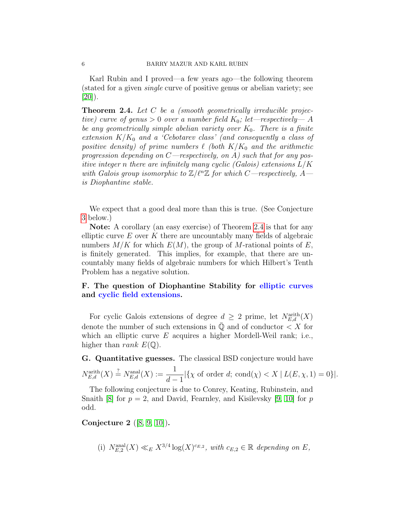Karl Rubin and I proved—a few years ago—the following theorem (stated for a given single curve of positive genus or abelian variety; see  $|20|$ ).

<span id="page-5-2"></span>**Theorem 2.4.** Let  $C$  be a (smooth geometrically irreducible projective) curve of genus  $> 0$  over a number field  $K_0$ ; let—respectively— A be any geometrically simple abelian variety over  $K_0$ . There is a finite extension  $K/K_0$  and a 'Cebotarev class' (and consequently a class of positive density) of prime numbers  $\ell$  (both  $K/K_0$  and the arithmetic progression depending on  $C$ —respectively, on A) such that for any positive integer n there are infinitely many cyclic (Galois) extensions  $L/K$ with Galois group isomorphic to  $\mathbb{Z}/\ell^n\mathbb{Z}$  for which C—respectively, A is Diophantine stable.

We expect that a good deal more than this is true. (See Conjecture [3](#page-6-3) below.)

Note: A corollary (an easy exercise) of Theorem [2.4](#page-5-2) is that for any elliptic curve  $E$  over  $K$  there are uncountably many fields of algebraic numbers  $M/K$  for which  $E(M)$ , the group of M-rational points of E, is finitely generated. This implies, for example, that there are uncountably many fields of algebraic numbers for which Hilbert's Tenth Problem has a negative solution.

### <span id="page-5-0"></span>F. The question of Diophantine Stability for elliptic curves and cyclic field extensions.

For cyclic Galois extensions of degree  $d \geq 2$  prime, let  $N_{E,d}^{\text{arith}}(X)$ denote the number of such extensions in  $\overline{Q}$  and of conductor  $\lt X$  for which an elliptic curve  $E$  acquires a higher Mordell-Weil rank; i.e., higher than *rank*  $E(\mathbb{Q})$ .

<span id="page-5-1"></span>G. Quantitative guesses. The classical BSD conjecture would have  $N_{E,d}^{\text{arith}}(X) \stackrel{?}{=} N_{E,d}^{\text{anal}}(X) := \frac{1}{d-1}$  $|\{\chi \text{ of order } d; \text{ cond}(\chi) < X \mid L(E, \chi, 1) = 0\}|.$ 

The following conjecture is due to Conrey, Keating, Rubinstein, and Snaith [\[8\]](#page-23-2) for  $p = 2$ , and David, Fearnley, and Kisilevsky [\[9,](#page-23-3) [10\]](#page-23-4) for p odd.

<span id="page-5-3"></span>Conjecture 2 ([\[8,](#page-23-2) [9,](#page-23-3) [10\]](#page-23-4)).

(i)  $N_{E,2}^{\text{anal}}(X) \ll_E X^{3/4} \log(X)^{c_{E,2}}$ , with  $c_{E,2} \in \mathbb{R}$  depending on E,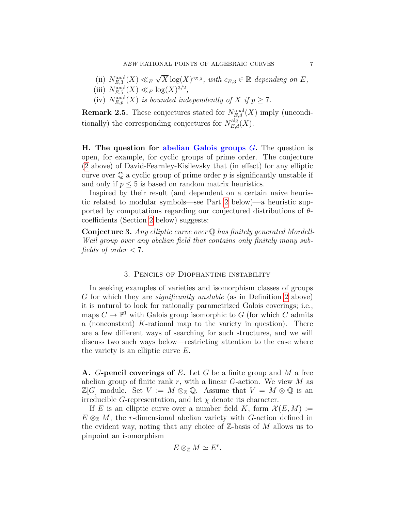- (ii)  $N_{E,3}^{\text{anal}}(X) \ll_E$ √  $\overline{X} \log(X)^{c_{E,3}}$ , with  $c_{E,3} \in \mathbb{R}$  depending on E,
- (iii)  $N_{E,5}^{\text{anal}}(X) \ll_E \log(X)^{3/2}$ ,
- (iv)  $N_{E,p}^{\text{anal}}(X)$  is bounded independently of X if  $p \geq 7$ .

**Remark 2.5.** These conjectures stated for  $N_{E,d}^{\text{anal}}(X)$  imply (unconditionally) the corresponding conjectures for  $N_{E,d}^{\text{alg}}(X)$ .

<span id="page-6-0"></span>**H.** The question for abelian Galois groups  $G$ . The question is open, for example, for cyclic groups of prime order. The conjecture [\(2](#page-5-3) above) of David-Fearnley-Kisilevsky that (in effect) for any elliptic curve over  $\mathbb Q$  a cyclic group of prime order p is significantly unstable if and only if  $p \leq 5$  is based on random matrix heuristics.

Inspired by their result (and dependent on a certain naive heuristic related to modular symbols—see Part [2](#page-17-0) below)—a heuristic supported by computations regarding our conjectured distributions of  $\theta$ coefficients (Section [2](#page-17-0) below) suggests:

<span id="page-6-3"></span>Conjecture 3. Any elliptic curve over Q has finitely generated Mordell-Weil group over any abelian field that contains only finitely many subfields of order  $\lt 7$ .

### 3. Pencils of Diophantine instability

<span id="page-6-1"></span>In seeking examples of varieties and isomorphism classes of groups G for which they are significantly unstable (as in Definition [2](#page-2-6) above) it is natural to look for rationally parametrized Galois coverings; i.e., maps  $C \to \mathbb{P}^1$  with Galois group isomorphic to G (for which C admits a (nonconstant) K-rational map to the variety in question). There are a few different ways of searching for such structures, and we will discuss two such ways below—restricting attention to the case where the variety is an elliptic curve E.

<span id="page-6-2"></span>A. G-pencil coverings of E. Let G be a finite group and M a free abelian group of finite rank r, with a linear  $G$ -action. We view  $M$  as  $\mathbb{Z}[G]$  module. Set  $V := M \otimes_{\mathbb{Z}} \mathbb{Q}$ . Assume that  $V = M \otimes \mathbb{Q}$  is an irreducible *G*-representation, and let  $\chi$  denote its character.

If E is an elliptic curve over a number field K, form  $\mathcal{X}(E, M) :=$  $E \otimes_{\mathbb{Z}} M$ , the r-dimensional abelian variety with G-action defined in the evident way, noting that any choice of  $\mathbb{Z}$ -basis of M allows us to pinpoint an isomorphism

$$
E\otimes_{\mathbb{Z}} M\simeq E^r.
$$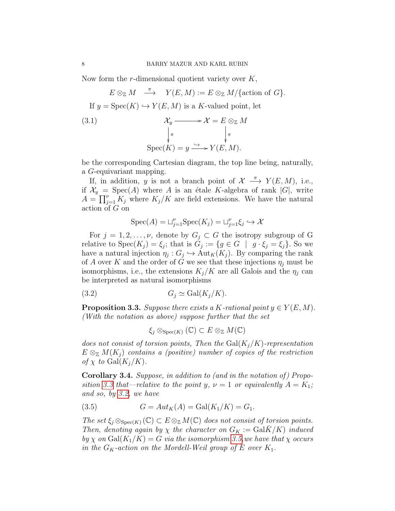Now form the  $r$ -dimensional quotient variety over  $K$ ,

<span id="page-7-4"></span> $E \otimes_{\mathbb{Z}} M \stackrel{\pi}{\longrightarrow} Y(E, M) := E \otimes_{\mathbb{Z}} M / \{\text{action of } G\}.$ If  $y = \text{Spec}(K) \hookrightarrow Y(E, M)$  is a K-valued point, let  $(3.1)$   $\mathcal{X}_y$ π  $\frac{1}{2}$  $\mathcal{X}=E\otimes_{\mathbb{Z}}M$ π ľ  $Spec(K) = y \xrightarrow{\hookrightarrow} Y(E, M).$ 

be the corresponding Cartesian diagram, the top line being, naturally, a G-equivariant mapping.

If, in addition, y is not a branch point of  $\mathcal{X} \stackrel{\pi}{\longrightarrow} Y(E,M)$ , i.e., if  $\mathcal{X}_y = \text{Spec}(A)$  where A is an étale K-algebra of rank  $|G|$ , write  $A = \prod_{j=1}^{\nu} K_j$  where  $K_j/K$  are field extensions. We have the natural action of G on

$$
Spec(A) = \sqcup_{j=1}^{\nu} Spec(K_j) = \sqcup_{j=1}^{\nu} \xi_j \hookrightarrow \mathcal{X}
$$

For  $j = 1, 2, \ldots, \nu$ , denote by  $G_j \subset G$  the isotropy subgroup of G relative to  $Spec(K_j) = \xi_j$ ; that is  $G_j := \{g \in G \mid g \cdot \xi_j = \xi_j\}$ . So we have a natural injection  $\eta_j: G_j \hookrightarrow \text{Aut}_K(K_j)$ . By comparing the rank of A over K and the order of G we see that these injections  $\eta_i$  must be isomorphisms, i.e., the extensions  $K_j/K$  are all Galois and the  $\eta_j$  can be interpreted as natural isomorphisms

$$
(3.2) \tG_j \simeq \text{Gal}(K_j/K).
$$

<span id="page-7-0"></span>**Proposition 3.3.** Suppose there exists a K-rational point  $y \in Y(E, M)$ . (With the notation as above) suppose further that the set

<span id="page-7-1"></span>
$$
\xi_j \otimes_{\operatorname{Spec}(K)} (\mathbb{C}) \subset E \otimes_{\mathbb{Z}} M(\mathbb{C})
$$

does not consist of torsion points, Then the  $Gal(K_j/K)$ -representation  $E \otimes_{\mathbb{Z}} M(K_i)$  contains a (positive) number of copies of the restriction of  $\chi$  to Gal $(K_i/K)$ .

<span id="page-7-3"></span>Corollary 3.4. Suppose, in addition to (and in the notation of) Propo-sition [3.3](#page-7-0) that—relative to the point y,  $\nu = 1$  or equivalently  $A = K_1$ ; and so, by [3.2,](#page-7-1) we have

<span id="page-7-2"></span>(3.5) 
$$
G = Aut_K(A) = Gal(K_1/K) = G_1.
$$

The set  $\xi_i \otimes_{\text{Spec}(K)} (\mathbb{C}) \subset E \otimes_{\mathbb{Z}} M(\mathbb{C})$  does not consist of torsion points. Then, denoting again by  $\chi$  the character on  $G_K := \text{Gal}\overline{K}/K$  induced by  $\chi$  on Gal(K<sub>1</sub>/K) = G via the isomorphism [3.5,](#page-7-2) we have that  $\chi$  occurs in the  $G_K$ -action on the Mordell-Weil group of E over  $K_1$ .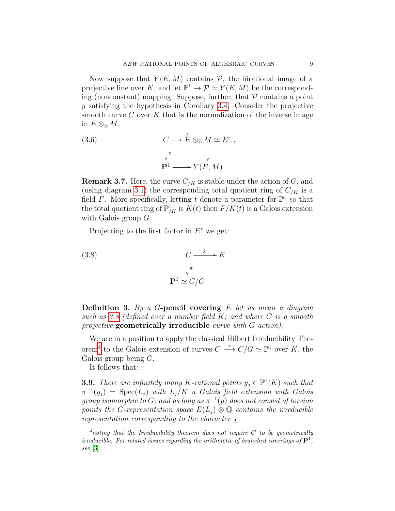Now suppose that  $Y(E, M)$  contains  $P$ , the birational image of a projective line over K, and let  $\mathbb{P}^1 \to \mathcal{P} \simeq Y(E, M)$  be the corresponding (nonconstant) mapping. Suppose, further, that  $P$  contains a point y satisfying the hypothesis in Corollary [3.4.](#page-7-3) Consider the projective smooth curve  $C$  over  $K$  that is the normalization of the inverse image in  $E \otimes_{\mathbb{Z}} M$ :

<span id="page-8-3"></span>(3.6) 
$$
C \longrightarrow \mathring{E} \otimes_{\mathbb{Z}} M \simeq E^r ,
$$

$$
\downarrow_{\pi} \qquad \qquad \downarrow
$$

$$
\mathbf{P}^1 \longrightarrow Y(E, M)
$$

**Remark 3.7.** Here, the curve  $C_{/K}$  is stable under the action of G, and (using diagram [3.1\)](#page-7-4) the corresponding total quotient ring of  $C_{/K}$  is a field F. More specifically, letting t denote a parameter for  $\mathbb{P}^1$  so that the total quotient ring of  $\mathbb{P}^1_{/K}$  is  $\tilde{K}(t)$  then  $F/K(t)$  is a Galois extension with Galois group  $G$ .

<span id="page-8-0"></span>Projecting to the first factor in  $E^r$  we get:

(3.8) 
$$
C \xrightarrow{\qquad j} E
$$

$$
\downarrow_{\pi}
$$

$$
\mathbf{P}^{1} \simeq C/G
$$

<span id="page-8-2"></span>**Definition 3.** By a G-pencil covering E let us mean a diagram such as [3.8](#page-8-0) (defined over a number field  $K$ ; and where  $C$  is a smooth projective geometrically irreducible curve with G action).

We are in a position to apply the classical Hilbert Irreducibility The-orem<sup>[4](#page-8-1)</sup> to the Galois extension of curves  $C \stackrel{i}{\longrightarrow} C/G \simeq \mathbb{P}^1$  over K, the Galois group being  $G$ .

It follows that:

**3.9.** There are infinitely many K-rational points  $y_j \in \mathbb{P}^1(K)$  such that  $\pi^{-1}(y_j) = \text{Spec}(L_j)$  with  $L_j/K$  a Galois field extension with Galois group isomorphic to G; and as long as  $\pi^{-1}(y)$  does not consist of torsion points the G-representation space  $E(L_i) \otimes \mathbb{Q}$  contains the irreducible representation corresponding to the character  $\chi$ .

<span id="page-8-1"></span> $<sup>4</sup>$ noting that the Irreducibility theorem does not require C to be geometrically</sup> irreducible. For related issues regarding the arithmetic of branched coverings of  $\mathbf{P}^1$ , see [\[3\]](#page-23-5).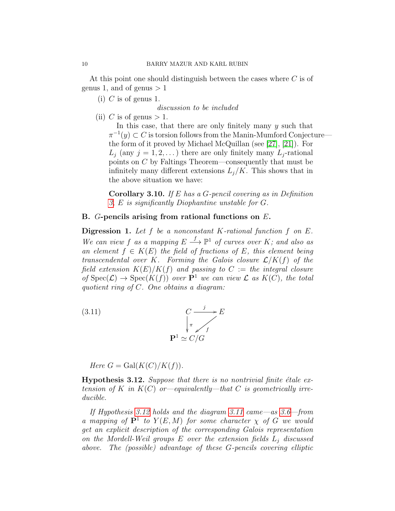At this point one should distinguish between the cases where C is of genus 1, and of genus  $> 1$ 

(i) C is of genus 1.

discussion to be included

(ii) C is of genus  $> 1$ .

In this case, that there are only finitely many  $y$  such that  $\pi^{-1}(y) \subset C$  is torsion follows from the Manin-Mumford Conjecture the form of it proved by Michael McQuillan (see [\[27\]](#page-24-2), [\[21\]](#page-24-3)). For  $L_i$  (any  $j = 1, 2, \ldots$ ) there are only finitely many  $L_i$ -rational points on C by Faltings Theorem—consequently that must be infinitely many different extensions  $L_i/K$ . This shows that in the above situation we have:

<span id="page-9-3"></span>**Corollary 3.10.** If E has a G-pencil covering as in Definition [3,](#page-8-2) E is significantly Diophantine unstable for G.

### <span id="page-9-0"></span>B. G-pencils arising from rational functions on E.

**Digression 1.** Let  $f$  be a nonconstant  $K$ -rational function  $f$  on  $E$ . We can view f as a mapping  $E \stackrel{f}{\longrightarrow} \mathbb{P}^1$  of curves over K; and also as an element  $f \in K(E)$  the field of fractions of E, this element being transcendental over K. Forming the Galois closure  $\mathcal{L}/K(f)$  of the field extension  $K(E)/K(f)$  and passing to  $C :=$  the integral closure of  $Spec(\mathcal{L}) \to Spec(K(f))$  over  $\mathbf{P}^1$  we can view  $\mathcal L$  as  $K(C)$ , the total quotient ring of C. One obtains a diagram:

<span id="page-9-2"></span>(3.11) 
$$
C \xrightarrow{f} E
$$

$$
\downarrow^{\pi} \swarrow f
$$

$$
\mathbf{P}^1 \simeq C/G
$$

Here  $G = \text{Gal}(K(C)/K(f)).$ 

<span id="page-9-1"></span>**Hypothesis 3.12.** Suppose that there is no nontrivial finite étale extension of K in  $K(C)$  or—equivalently—that C is geometrically irreducible.

If Hypothesis [3.12](#page-9-1) holds and the diagram [3.11](#page-9-2) came—as [3.6—](#page-8-3)from a mapping of  $\mathbf{P}^1$  to  $Y(E,M)$  for some character  $\chi$  of G we would get an explicit description of the corresponding Galois representation on the Mordell-Weil groups  $E$  over the extension fields  $L_j$  discussed above. The (possible) advantage of these G-pencils covering elliptic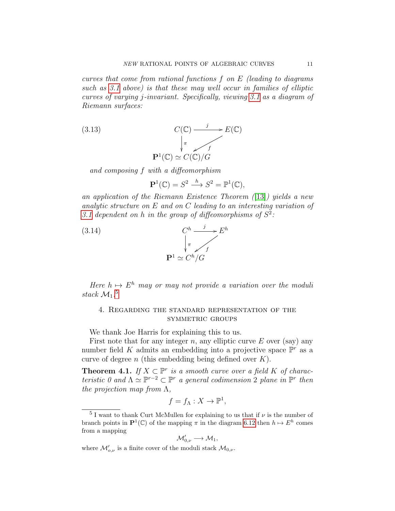curves that come from rational functions f on E (leading to diagrams such as [3.1](#page-7-4) above) is that these may well occur in families of elliptic curves of varying j-invariant. Specifically, viewing [3.1](#page-7-4) as a diagram of Riemann surfaces:

(3.13) 
$$
C(\mathbb{C}) \xrightarrow{j} E(\mathbb{C})
$$

$$
\downarrow^{\pi} \qquad \qquad F(\mathbb{C}) \simeq C(\mathbb{C})/G
$$

$$
\mathbf{P}^{1}(\mathbb{C}) \simeq C(\mathbb{C})/G
$$

and composing f with a diffeomorphism

$$
\mathbf{P}^1(\mathbb{C}) = S^2 \xrightarrow{h} S^2 = \mathbb{P}^1(\mathbb{C}),
$$

an application of the Riemann Existence Theorem  $(13)$ ) yields a new analytic structure on E and on C leading to an interesting variation of [3.1](#page-7-4) dependent on h in the group of diffeomorphisms of  $S^2$ :



Here  $h \mapsto E^h$  may or may not provide a variation over the moduli stack  $\mathcal{M}_1$ .<sup>[5](#page-10-1)</sup>

# <span id="page-10-0"></span>4. Regarding the standard representation of the symmetric groups

We thank Joe Harris for explaining this to us.

First note that for any integer n, any elliptic curve  $E$  over (say) any number field K admits an embedding into a projective space  $\mathbb{P}^r$  as a curve of degree n (this embedding being defined over  $K$ ).

<span id="page-10-2"></span>**Theorem 4.1.** If  $X \subset \mathbb{P}^r$  is a smooth curve over a field K of characteristic 0 and  $\Lambda \simeq \mathbb{P}^{r-2} \subset \mathbb{P}^r$  a general codimension 2 plane in  $\mathbb{P}^r$  then the projection map from  $\Lambda$ ,

$$
f = f_{\Lambda}: X \to \mathbb{P}^1,
$$

$$
\mathcal{M}_{0,\nu}' \longrightarrow \mathcal{M}_1,
$$

where  $\mathcal{M}'_{o,\nu}$  is a finite cover of the moduli stack  $\mathcal{M}_{0,\nu}$ .

<span id="page-10-1"></span><sup>&</sup>lt;sup>5</sup> I want to thank Curt McMullen for explaining to us that if  $\nu$  is the number of branch points in  $\mathbf{P}^1(\mathbb{C})$  of the mapping  $\pi$  in the diagram [6.12](#page-16-0) then  $h \mapsto E^h$  comes from a mapping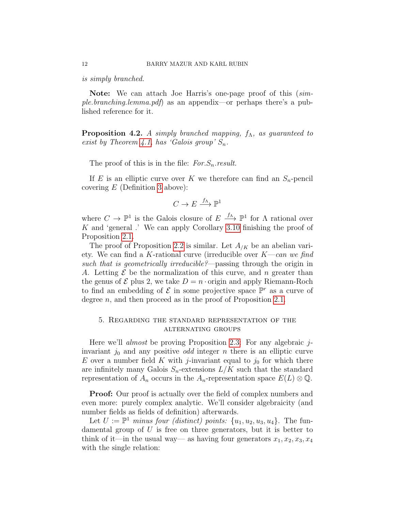is simply branched.

Note: We can attach Joe Harris's one-page proof of this (simple.branching.lemma.pdf) as an appendix—or perhaps there's a published reference for it.

**Proposition 4.2.** A simply branched mapping,  $f_{\Lambda}$ , as guaranteed to exist by Theorem [4.1,](#page-10-2) has 'Galois group'  $S_n$ .

The proof of this is in the file:  $For S_n. result.$ 

If E is an elliptic curve over K we therefore can find an  $S_n$ -pencil covering  $E$  (Definition [3](#page-8-2) above):

$$
C \to E \xrightarrow{f_{\Lambda}} \mathbb{P}^1
$$

where  $C \to \mathbb{P}^1$  is the Galois closure of  $E \stackrel{f_A}{\longrightarrow} \mathbb{P}^1$  for  $\Lambda$  rational over K and 'general .' We can apply Corollary [3.10](#page-9-3) finishing the proof of Proposition [2.1.](#page-3-0)

The proof of Proposition [2.2](#page-3-2) is similar. Let  $A_{/K}$  be an abelian variety. We can find a K-rational curve (irreducible over  $K—can we find$ such that is geometrically irreducible?—passing through the origin in A. Letting  $\mathcal E$  be the normalization of this curve, and n greater than the genus of  $\mathcal E$  plus 2, we take  $D = n \cdot \text{origin}$  and apply Riemann-Roch to find an embedding of  $\mathcal E$  in some projective space  $\mathbb P^r$  as a curve of degree  $n$ , and then proceed as in the proof of Proposition [2.1.](#page-3-0)

### <span id="page-11-0"></span>5. Regarding the standard representation of the alternating groups

Here we'll almost be proving Proposition [2.3:](#page-3-3) For any algebraic jinvariant  $j_0$  and any positive *odd* integer *n* there is an elliptic curve E over a number field K with j-invariant equal to  $j_0$  for which there are infinitely many Galois  $S_n$ -extensions  $L/K$  such that the standard representation of  $A_n$  occurs in the  $A_n$ -representation space  $E(L) \otimes \mathbb{Q}$ .

**Proof:** Our proof is actually over the field of complex numbers and even more: purely complex analytic. We'll consider algebraicity (and number fields as fields of definition) afterwards.

Let  $U := \mathbb{P}^1$  minus four (distinct) points:  $\{u_1, u_2, u_3, u_4\}$ . The fundamental group of  $U$  is free on three generators, but it is better to think of it—in the usual way— as having four generators  $x_1, x_2, x_3, x_4$ with the single relation: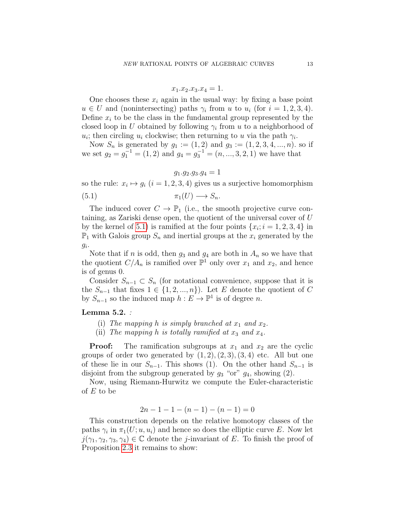$$
x_1.x_2.x_3.x_4 = 1.
$$

One chooses these  $x_i$  again in the usual way: by fixing a base point  $u \in U$  and (nonintersecting) paths  $\gamma_i$  from u to  $u_i$  (for  $i = 1, 2, 3, 4$ ). Define  $x_i$  to be the class in the fundamental group represented by the closed loop in U obtained by following  $\gamma_i$  from u to a neighborhood of  $u_i$ ; then circling  $u_i$  clockwise; then returning to u via the path  $\gamma_i$ .

Now  $S_n$  is generated by  $g_1 := (1, 2)$  and  $g_3 := (1, 2, 3, 4, ..., n)$ . so if we set  $g_2 = g_1^{-1} = (1, 2)$  and  $g_4 = g_3^{-1} = (n, ..., 3, 2, 1)$  we have that

<span id="page-12-0"></span>
$$
g_1.g_2.g_3.g_4=1
$$

so the rule:  $x_i \mapsto g_i$   $(i = 1, 2, 3, 4)$  gives us a surjective homomorphism (5.1)  $\pi_1(U) \longrightarrow S_n$ .

The induced cover  $C \to \mathbb{P}_1$  (i.e., the smooth projective curve containing, as Zariski dense open, the quotient of the universal cover of U by the kernel of [5.1\)](#page-12-0) is ramified at the four points  $\{x_i; i = 1, 2, 3, 4\}$  in  $\mathbb{P}_1$  with Galois group  $S_n$  and inertial groups at the  $x_i$  generated by the  $g_i$ .

Note that if n is odd, then  $g_3$  and  $g_4$  are both in  $A_n$  so we have that the quotient  $C/A_n$  is ramified over  $\mathbb{P}^1$  only over  $x_1$  and  $x_2$ , and hence is of genus 0.

Consider  $S_{n-1} \subset S_n$  (for notational convenience, suppose that it is the  $S_{n-1}$  that fixes  $1 \in \{1, 2, ..., n\}$ . Let E denote the quotient of C by  $S_{n-1}$  so the induced map  $h: E \to \mathbb{P}^1$  is of degree n.

### Lemma 5.2. :

- (i) The mapping h is simply branched at  $x_1$  and  $x_2$ .
- (ii) The mapping h is totally ramified at  $x_3$  and  $x_4$ .

**Proof:** The ramification subgroups at  $x_1$  and  $x_2$  are the cyclic groups of order two generated by  $(1, 2), (2, 3), (3, 4)$  etc. All but one of these lie in our  $S_{n-1}$ . This shows (1). On the other hand  $S_{n-1}$  is disjoint from the subgroup generated by  $g_3$  "or"  $g_4$ , showing (2).

Now, using Riemann-Hurwitz we compute the Euler-characteristic of  $E$  to be

$$
2n - 1 - 1 - (n - 1) - (n - 1) = 0
$$

This construction depends on the relative homotopy classes of the paths  $\gamma_i$  in  $\pi_1(U; u, u_i)$  and hence so does the elliptic curve E. Now let  $j(\gamma_1, \gamma_2, \gamma_3, \gamma_4) \in \mathbb{C}$  denote the *j*-invariant of E. To finish the proof of Proposition [2.3](#page-3-3) it remains to show: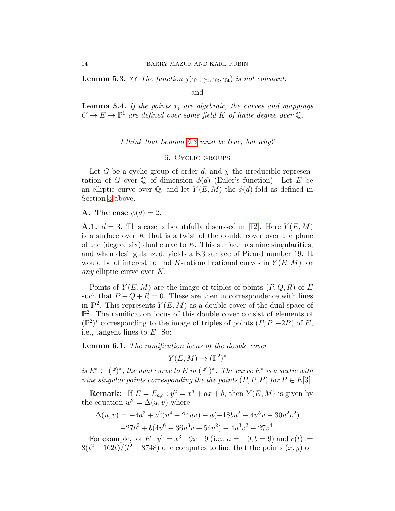<span id="page-13-2"></span>**Lemma 5.3.** ?? The function  $j(\gamma_1, \gamma_2, \gamma_3, \gamma_4)$  is not constant.

and

**Lemma 5.4.** If the points  $x_i$  are algebraic, the curves and mappings  $C \to E \to \mathbb{P}^1$  are defined over some field K of finite degree over Q.

I think that Lemma [5.3](#page-13-2) must be true; but why?

#### 6. Cyclic groups

<span id="page-13-0"></span>Let G be a cyclic group of order d, and  $\chi$  the irreducible representation of G over Q of dimension  $\phi(d)$  (Euler's function). Let E be an elliptic curve over  $\mathbb{Q}$ , and let  $Y(E, M)$  the  $\phi(d)$ -fold as defined in Section [3](#page-6-1) above.

### <span id="page-13-1"></span>A. The case  $\phi(d) = 2$ .

**A.1.**  $d = 3$ . This case is beautifully discussed in [\[12\]](#page-24-5). Here  $Y(E, M)$ is a surface over  $K$  that is a twist of the double cover over the plane of the (degree six) dual curve to  $E$ . This surface has nine singularities, and when desingularized, yields a K3 surface of Picard number 19. It would be of interest to find K-rational rational curves in  $Y(E, M)$  for any elliptic curve over K.

Points of  $Y(E, M)$  are the image of triples of points  $(P, Q, R)$  of E such that  $P + Q + R = 0$ . These are then in correspondence with lines in  $\mathbf{P}^2$ . This represents  $Y(E, M)$  as a double cover of the dual space of  $\mathbb{P}^2$ . The ramification locus of this double cover consist of elements of  $(\mathbb{P}^2)^*$  corresponding to the image of triples of points  $(P, P, -2P)$  of E, i.e., tangent lines to E. So:

**Lemma 6.1.** The ramification locus of the double cover

$$
Y(E, M) \to (\mathbb{P}^2)^*
$$

is  $E^* \subset (\mathbb{P})^*$ , the dual curve to E in  $(\mathbb{P}^2)^*$ . The curve  $E^*$  is a sextic with nine singular points corresponding the the points  $(P, P, P)$  for  $P \in E[3]$ .

**Remark:** If  $E = E_{a,b}$ :  $y^2 = x^3 + ax + b$ , then  $Y(E, M)$  is given by the equation  $w^2 = \Delta(u, v)$  where

$$
\Delta(u, v) = -4a^3 + a^2(u^4 + 24uv) + a(-18bu^2 - 4u^5v - 30u^2v^2)
$$
  

$$
-27b^2 + b(4u^6 + 36u^3v + 54v^2) - 4u^3v^3 - 27v^4.
$$

For example, for  $E: y^2 = x^3 - 9x + 9$  (i.e.,  $a = -9, b = 9$ ) and  $r(t) :=$  $8(t^2 - 162t)/(t^2 + 8748)$  one computes to find that the points  $(x, y)$  on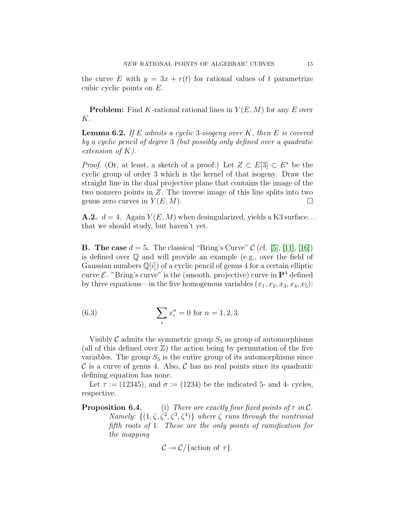the curve E with  $y = 3x + r(t)$  for rational values of t parametrize cubic cyclic points on E.

**Problem:** Find K-rational rational lines in  $Y(E, M)$  for any E over K.

**Lemma 6.2.** If E admits a cyclic 3-isogeny over K, then E is covered by a cyclic pencil of degree 3 (but possibly only defined over a quadratic extension of K).

*Proof.* (Or, at least, a sketch of a proof:) Let  $Z \subset E[3] \subset E^*$  be the cyclic group of order 3 which is the kernel of that isogeny. Draw the straight line in the dual projective plane that contains the image of the two nonzero points in Z. The inverse image of this line splits into two genus zero curves in  $Y(E, M)$ .

**A.2.**  $d = 4$ . Again  $Y(E, M)$  when desingularized, yields a K3 surface... that we should study, but haven't yet.

<span id="page-14-0"></span>**B.** The case  $d = 5$ . The classical "Bring's Curve" C (cf. [\[5\]](#page-23-6), [\[11\]](#page-23-7), [\[16\]](#page-24-6)) is defined over  $\mathbb Q$  and will provide an example (e.g., over the field of Gaussian numbers  $\mathbb{Q}[i]$  of a cyclic pencil of genus 4 for a certain elliptic curve  $\mathcal{E}$ . "Bring's curve" is the (smooth, projective) curve in  $\mathbf{P}^4$  defined by three equations—in the five homogenous variables  $(x_1, x_2, x_3, x_4, x_5)$ :

<span id="page-14-1"></span>(6.3) 
$$
\sum_{i} x_i^n = 0 \text{ for } n = 1, 2, 3.
$$

Visibly  $\mathcal C$  admits the symmetric group  $S_5$  as group of automorphisms (all of this defined over  $\mathbb{Z}$ ) the action being by permutation of the five variables. The group  $S_5$  is the entire group of its automorphisms since  $\mathcal C$  is a curve of genus 4. Also,  $\mathcal C$  has no real points since its quadratic defining equation has none.

Let  $\tau := (12345)$ , and  $\sigma := (1234)$  be the indicated 5- and 4- cycles, respective.

**Proposition 6.4.** (i) There are exactly four fixed points of  $\tau$  in C. Namely:  $\{(1,\zeta,\zeta^2,\zeta^3,\zeta^4)\}\$  where  $\zeta$  runs through the nontrivial fifth roots of 1. These are the only points of ramification for the mapping

$$
\mathcal{C} \to \mathcal{C}/\{\text{action of } \tau\}.
$$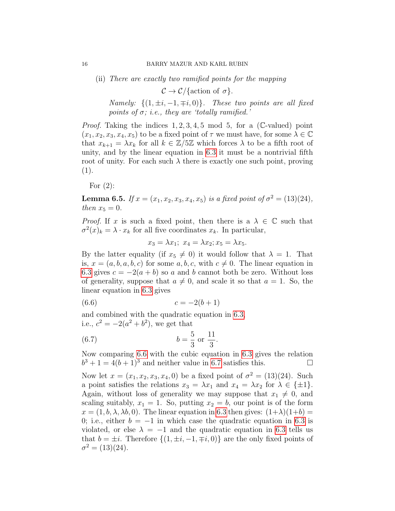(ii) There are exactly two ramified points for the mapping

 $\mathcal{C} \to \mathcal{C}/\{\text{action of } \sigma\}.$ 

Namely:  $\{(1, \pm i, -1, \mp i, 0)\}$ . These two points are all fixed points of  $\sigma$ ; i.e., they are 'totally ramified.'

*Proof.* Taking the indices  $1, 2, 3, 4, 5 \text{ mod } 5$ , for a (C-valued) point  $(x_1, x_2, x_3, x_4, x_5)$  to be a fixed point of  $\tau$  we must have, for some  $\lambda \in \mathbb{C}$ that  $x_{k+1} = \lambda x_k$  for all  $k \in \mathbb{Z}/5\mathbb{Z}$  which forces  $\lambda$  to be a fifth root of unity, and by the linear equation in [6.3](#page-14-1) it must be a nontrivial fifth root of unity. For each such  $\lambda$  there is exactly one such point, proving  $(1).$ 

For  $(2)$ :

**Lemma 6.5.** If  $x = (x_1, x_2, x_3, x_4, x_5)$  is a fixed point of  $\sigma^2 = (13)(24)$ , then  $x_5 = 0$ .

*Proof.* If x is such a fixed point, then there is a  $\lambda \in \mathbb{C}$  such that  $\sigma^2(x)_k = \lambda \cdot x_k$  for all five coordinates  $x_k$ . In particular,

<span id="page-15-0"></span>
$$
x_3 = \lambda x_1; \ x_4 = \lambda x_2; x_5 = \lambda x_5.
$$

By the latter equality (if  $x_5 \neq 0$ ) it would follow that  $\lambda = 1$ . That is,  $x = (a, b, a, b, c)$  for some  $a, b, c$ , with  $c \neq 0$ . The linear equation in [6.3](#page-14-1) gives  $c = -2(a + b)$  so a and b cannot both be zero. Without loss of generality, suppose that  $a \neq 0$ , and scale it so that  $a = 1$ . So, the linear equation in [6.3](#page-14-1) gives

$$
(6.6) \t\t c = -2(b+1)
$$

and combined with the quadratic equation in [6.3,](#page-14-1) i.e.,  $c^2 = -2(a^2 + b^2)$ , we get that

<span id="page-15-1"></span>(6.7) 
$$
b = \frac{5}{3} \text{ or } \frac{11}{3}.
$$

Now comparing [6.6](#page-15-0) with the cubic equation in [6.3](#page-14-1) gives the relation  $b^3 + 1 = 4(b+1)^3$  and neither value in [6.7](#page-15-1) satisfies this.

Now let  $x = (x_1, x_2, x_3, x_4, 0)$  be a fixed point of  $\sigma^2 = (13)(24)$ . Such a point satisfies the relations  $x_3 = \lambda x_1$  and  $x_4 = \lambda x_2$  for  $\lambda \in {\pm 1}$ . Again, without loss of generality we may suppose that  $x_1 \neq 0$ , and scaling suitably,  $x_1 = 1$ . So, putting  $x_2 = b$ , our point is of the form  $x = (1, b, \lambda, \lambda b, 0)$ . The linear equation in [6.3](#page-14-1) then gives:  $(1+\lambda)(1+b)$ 0; i.e., either  $b = -1$  in which case the quadratic equation in [6.3](#page-14-1) is violated, or else  $\lambda = -1$  and the quadratic equation in [6.3](#page-14-1) tells us that  $b = \pm i$ . Therefore  $\{(1, \pm i, -1, \mp i, 0)\}$  are the only fixed points of  $\sigma^2 = (13)(24).$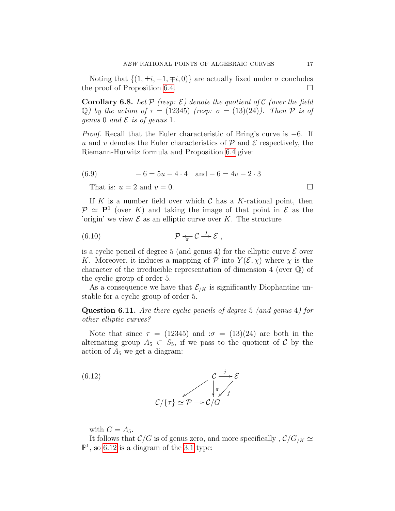Noting that  $\{(1, \pm i, -1, \mp i, 0)\}\$ are actually fixed under  $\sigma$  concludes the proof of Proposition [6.4.](#page-0-0)  $\Box$ 

**Corollary 6.8.** Let  $P$  (resp:  $\mathcal{E}$ ) denote the quotient of  $C$  (over the field Q) by the action of  $\tau = (12345)$  (resp:  $\sigma = (13)(24)$ ). Then  $\mathcal P$  is of genus 0 and  $\mathcal E$  is of genus 1.

Proof. Recall that the Euler characteristic of Bring's curve is −6. If u and v denotes the Euler characteristics of  $P$  and  $E$  respectively, the Riemann-Hurwitz formula and Proposition [6.4](#page-0-0) give:

$$
(6.9) \qquad -6 = 5u - 4 \cdot 4 \quad \text{and} \ -6 = 4v - 2 \cdot 3
$$

That is:  $u = 2$  and  $v = 0$ .

If K is a number field over which  $\mathcal C$  has a K-rational point, then  $\mathcal{P} \simeq \mathbf{P}^1$  (over K) and taking the image of that point in  $\mathcal{E}$  as the 'origin' we view  $\mathcal E$  as an elliptic curve over K. The structure

$$
(6.10) \t\t\t\t\t\mathcal{P} \leftarrow \mathcal{C} \stackrel{j}{\rightarrow} \mathcal{E} ,
$$

is a cyclic pencil of degree 5 (and genus 4) for the elliptic curve  $\mathcal E$  over K. Moreover, it induces a mapping of  $P$  into  $Y(\mathcal{E}, \chi)$  where  $\chi$  is the character of the irreducible representation of dimension 4 (over Q) of the cyclic group of order 5.

As a consequence we have that  $\mathcal{E}_{/K}$  is significantly Diophantine unstable for a cyclic group of order 5.

Question 6.11. Are there cyclic pencils of degree 5 (and genus 4) for other elliptic curves?

Note that since  $\tau = (12345)$  and  $\sigma = (13)(24)$  are both in the alternating group  $A_5 \subset S_5$ , if we pass to the quotient of C by the action of  $A_5$  we get a diagram:

<span id="page-16-0"></span>(6.12) 
$$
C \xrightarrow{\tau} \mathcal{E}
$$

$$
C/\{\tau\} \simeq \mathcal{P} \longrightarrow C/G
$$

with  $G = A_5$ .

It follows that  $\mathcal{C}/G$  is of genus zero, and more specifically,  $\mathcal{C}/G_{/K} \simeq$  $\mathbb{P}^1$ , so [6.12](#page-16-0) is a diagram of the [3.1](#page-7-4) type:

$$
\qquad \qquad \Box
$$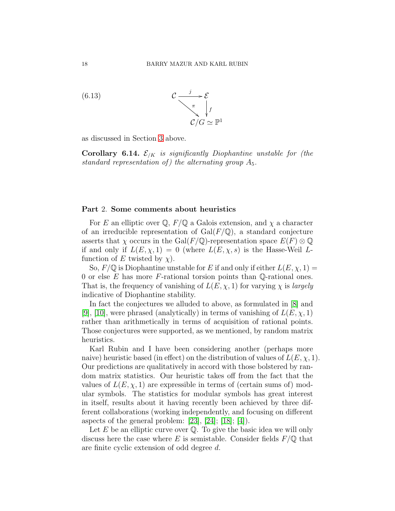

as discussed in Section [3](#page-6-1) above.

<span id="page-17-1"></span>**Corollary 6.14.**  $\mathcal{E}_{/K}$  is significantly Diophantine unstable for (the standard representation of) the alternating group  $A_5$ .

### <span id="page-17-0"></span>Part 2. Some comments about heuristics

For E an elliptic over  $\mathbb{Q}, F/\mathbb{Q}$  a Galois extension, and  $\chi$  a character of an irreducible representation of  $Gal(F/\mathbb{Q})$ , a standard conjecture asserts that  $\chi$  occurs in the Gal(F/Q)-representation space  $E(F) \otimes \mathbb{Q}$ if and only if  $L(E, \chi, 1) = 0$  (where  $L(E, \chi, s)$  is the Hasse-Weil Lfunction of E twisted by  $\chi$ ).

So,  $F/\mathbb{Q}$  is Diophantine unstable for E if and only if either  $L(E, \chi, 1) =$ 0 or else  $E$  has more  $F$ -rational torsion points than  $\mathbb Q$ -rational ones. That is, the frequency of vanishing of  $L(E, \chi, 1)$  for varying  $\chi$  is *largely* indicative of Diophantine stability.

In fact the conjectures we alluded to above, as formulated in [\[8\]](#page-23-2) and [\[9\]](#page-23-3), [\[10\]](#page-23-4), were phrased (analytically) in terms of vanishing of  $L(E, \chi, 1)$ rather than arithmetically in terms of acquisition of rational points. Those conjectures were supported, as we mentioned, by random matrix heuristics.

Karl Rubin and I have been considering another (perhaps more naive) heuristic based (in effect) on the distribution of values of  $L(E, \chi, 1)$ . Our predictions are qualitatively in accord with those bolstered by random matrix statistics. Our heuristic takes off from the fact that the values of  $L(E, \chi, 1)$  are expressible in terms of (certain sums of) modular symbols. The statistics for modular symbols has great interest in itself, results about it having recently been achieved by three different collaborations (working independently, and focusing on different aspects of the general problem:  $[23]$ ,  $[24]$ ;  $[18]$ ;  $[4]$ ).

Let  $E$  be an elliptic curve over  $\mathbb Q$ . To give the basic idea we will only discuss here the case where E is semistable. Consider fields  $F/\mathbb{Q}$  that are finite cyclic extension of odd degree d.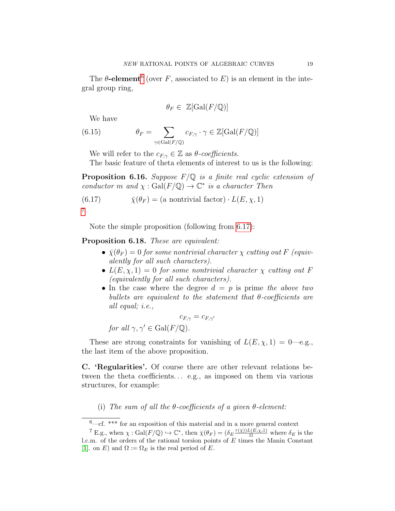The  $\theta$ -element<sup>[6](#page-18-1)</sup> (over F, associated to E) is an element in the integral group ring,

$$
\theta_F \in \mathbb{Z}[\text{Gal}(F/\mathbb{Q})]
$$

We have

(6.15) 
$$
\theta_F = \sum_{\gamma \in \text{Gal}(F/\mathbb{Q})} c_{F,\gamma} \cdot \gamma \in \mathbb{Z}[\text{Gal}(F/\mathbb{Q})]
$$

We will refer to the  $c_{F,\gamma} \in \mathbb{Z}$  as  $\theta$ -coefficients.

The basic feature of theta elements of interest to us is the following:

**Proposition 6.16.** Suppose  $F/Q$  is a finite real cyclic extension of conductor m and  $\chi : \text{Gal}(F/\mathbb{Q}) \to \mathbb{C}^*$  is a character Then

<span id="page-18-3"></span>(6.17) 
$$
\bar{\chi}(\theta_F) = (a \text{ nontrivial factor}) \cdot L(E, \chi, 1)
$$
7

Note the simple proposition (following from [6.17\)](#page-18-3):

<span id="page-18-4"></span>Proposition 6.18. These are equivalent:

- $\bar{\chi}(\theta_F) = 0$  for some nontrivial character  $\chi$  cutting out F (equivalently for all such characters).
- $L(E, \chi, 1) = 0$  for some nontrivial character  $\chi$  cutting out F (equivalently for all such characters).
- In the case where the degree  $d = p$  is prime the above two bullets are equivalent to the statement that  $\theta$ -coefficients are all equal; i.e.,

 $c_{F,\gamma} = c_{F,\gamma'}$ 

for all  $\gamma, \gamma' \in \text{Gal}(F/\mathbb{Q})$ .

These are strong constraints for vanishing of  $L(E, \chi, 1) = 0$ —e.g., the last item of the above proposition.

<span id="page-18-0"></span>C. 'Regularities'. Of course there are other relevant relations between the theta coefficients... e.g., as imposed on them via various structures, for example:

(i) The sum of all the  $\theta$ -coefficients of a given  $\theta$ -element:

<span id="page-18-2"></span><span id="page-18-1"></span> $6\text{---} \text{cf.}$  \*\*\* for an exposition of this material and in a more general context

<sup>&</sup>lt;sup>7</sup> E.g., when  $\chi : \text{Gal}(F/\mathbb{Q}) \hookrightarrow \mathbb{C}^*$ , then  $\bar{\chi}(\theta_F) = (\delta_E \frac{\tau(\bar{\chi}))L(E,\chi,1)}{\Omega}$  where  $\delta_E$  is the l.c.m. of the orders of the rational torsion points of  $E$  times the Manin Constant [\[1\]](#page-23-9). on E) and  $\Omega := \Omega_E$  is the real period of E.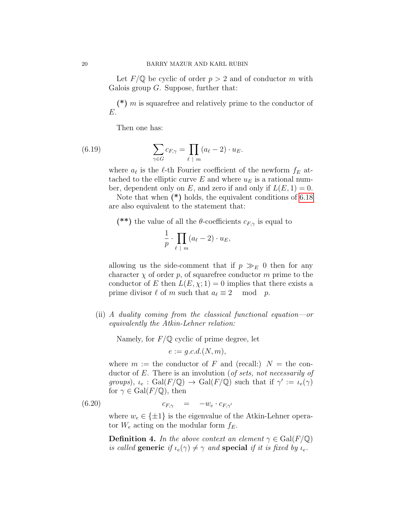Let  $F/\mathbb{Q}$  be cyclic of order  $p > 2$  and of conductor m with Galois group  $G$ . Suppose, further that:

(\*)  $m$  is squarefree and relatively prime to the conductor of E.

Then one has:

(6.19) 
$$
\sum_{\gamma \in G} c_{F,\gamma} = \prod_{\ell \ | \ m} (a_{\ell} - 2) \cdot u_E.
$$

where  $a_{\ell}$  is the  $\ell$ -th Fourier coefficient of the newform  $f_E$  attached to the elliptic curve E and where  $u_E$  is a rational number, dependent only on E, and zero if and only if  $L(E, 1) = 0$ .

Note that when  $(*)$  holds, the equivalent conditions of [6.18](#page-18-4) are also equivalent to the statement that:

(\*\*) the value of all the  $\theta$ -coefficients  $c_{F,\gamma}$  is equal to

$$
\frac{1}{p} \cdot \prod_{\ell \ | \ m} (a_{\ell} - 2) \cdot u_E,
$$

allowing us the side-comment that if  $p \gg_E 0$  then for any character  $\chi$  of order p, of squarefree conductor m prime to the conductor of E then  $L(E, \chi; 1) = 0$  implies that there exists a prime divisor  $\ell$  of m such that  $a_{\ell} \equiv 2 \mod p$ .

(ii) A duality coming from the classical functional equation—or equivalently the Atkin-Lehner relation:

Namely, for  $F/\mathbb{Q}$  cyclic of prime degree, let

<span id="page-19-0"></span>
$$
e := g.c.d.(N,m),
$$

where  $m :=$  the conductor of F and (recall:)  $N =$  the conductor of E. There is an involution (of sets, not necessarily of groups),  $\iota_e$ : Gal(F/Q)  $\to$  Gal(F/Q) such that if  $\gamma' := \iota_e(\gamma)$ for  $\gamma \in \text{Gal}(F/\mathbb{Q})$ , then

$$
(6.20) \t\t\t c_{F,\gamma} = -w_e \cdot c_{F,\gamma'}
$$

where  $w_e \in {\pm 1}$  is the eigenvalue of the Atkin-Lehner operator  $W_e$  acting on the modular form  $f_E$ .

**Definition 4.** In the above context an element  $\gamma \in \text{Gal}(F/\mathbb{Q})$ is called generic if  $\iota_e(\gamma) \neq \gamma$  and special if it is fixed by  $\iota_e$ .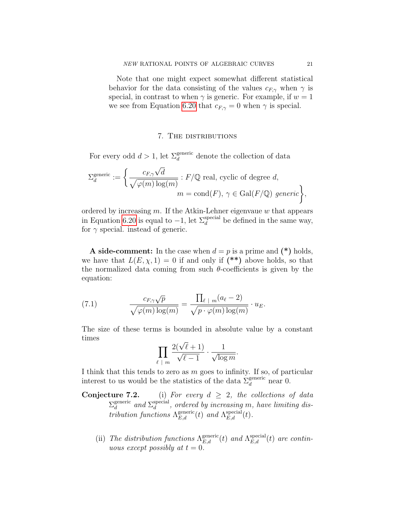Note that one might expect somewhat different statistical behavior for the data consisting of the values  $c_{F,\gamma}$  when  $\gamma$  is special, in contrast to when  $\gamma$  is generic. For example, if  $w = 1$ we see from Equation [6.20](#page-19-0) that  $c_{F,\gamma} = 0$  when  $\gamma$  is special.

### 7. The distributions

<span id="page-20-0"></span>For every odd  $d > 1$ , let  $\Sigma_d^{\text{generic}}$  denote the collection of data

$$
\Sigma_d^{\text{generic}} := \left\{ \frac{c_{F,\gamma} \sqrt{d}}{\sqrt{\varphi(m) \log(m)}} : F/\mathbb{Q} \text{ real, cyclic of degree } d, \right. \\ m = \text{cond}(F), \, \gamma \in \text{Gal}(F/\mathbb{Q}) \text{ generic} \right\},
$$

ordered by increasing  $m$ . If the Atkin-Lehner eigenvaue  $w$  that appears in Equation [6.20](#page-19-0) is equal to  $-1$ , let  $\Sigma_d^{\text{special}}$  be defined in the same way, for  $\gamma$  special. instead of generic.

**A** side-comment: In the case when  $d = p$  is a prime and  $(*)$  holds, we have that  $L(E, \chi, 1) = 0$  if and only if (\*\*) above holds, so that the normalized data coming from such  $\theta$ -coefficients is given by the equation:

(7.1) 
$$
\frac{c_{F,\gamma}\sqrt{p}}{\sqrt{\varphi(m)\log(m)}} = \frac{\prod_{\ell \ | \ m}(a_{\ell}-2)}{\sqrt{p\cdot\varphi(m)\log(m)}} \cdot u_E.
$$

The size of these terms is bounded in absolute value by a constant times

$$
\prod_{\ell \ | \ m} \frac{2(\sqrt{\ell}+1)}{\sqrt{\ell-1}} \cdot \frac{1}{\sqrt{\log m}}.
$$

I think that this tends to zero as  $m$  goes to infinity. If so, of particular interest to us would be the statistics of the data  $\Sigma_d^{\text{generic}}$  near 0.

- **Conjecture 7.2.** (i) For every  $d \geq 2$ , the collections of data  $\Sigma_d^{\text{generic}}$ generic and  $\Sigma_d^{\text{special}}$  $\frac{d}{d}^{special}$ , ordered by increasing m, have limiting distribution functions  $\Lambda_{E,d}^{\text{generic}}(t)$  and  $\Lambda_{E,d}^{\text{special}}(t)$ .
	- (ii) The distribution functions  $\Lambda_{E,d}^{\text{generic}}(t)$  and  $\Lambda_{E,d}^{\text{special}}(t)$  are continuous except possibly at  $t = 0$ .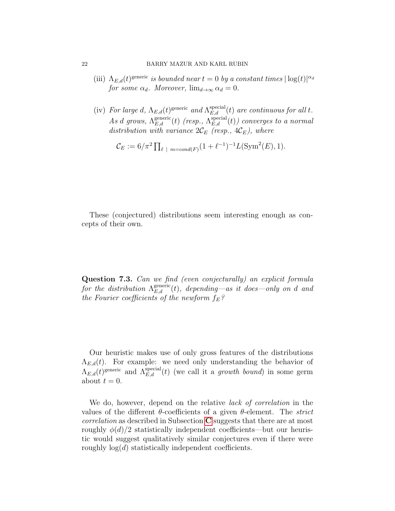- (iii)  $\Lambda_{E,d}(t)$ <sup>generic</sup> is bounded near  $t=0$  by a constant times  $|\log(t)|^{\alpha_d}$ for some  $\alpha_d$ . Moreover,  $\lim_{d\to\infty} \alpha_d = 0$ .
- (iv) For large d,  $\Lambda_{E,d}(t)$ <sup>generic</sup> and  $\Lambda_{E,d}^{\text{special}}(t)$  are continuous for all t. As d grows,  $\Lambda_{E,d}^{\text{generic}}(t)$  (resp.,  $\Lambda_{E,d}^{\text{special}}(t)$ ) converges to a normal distribution with variance  $2\mathcal{C}_E$  (resp.,  $4\mathcal{C}_E$ ), where

$$
\mathcal{C}_E := 6/\pi^2 \prod_{\ell \ | \ m = cond(F)} (1 + \ell^{-1})^{-1} L(\text{Sym}^2(E), 1).
$$

These (conjectured) distributions seem interesting enough as concepts of their own.

Question 7.3. Can we find (even conjecturally) an explicit formula for the distribution  $\Lambda_{E,d}^{\text{generic}}(t)$ , depending—as it does—only on d and the Fourier coefficients of the newform  $f_E$ ?

Our heuristic makes use of only gross features of the distributions  $\Lambda_{E,d}(t)$ . For example: we need only understanding the behavior of  $\Lambda_{E,d}(t)$ <sup>generic</sup> and  $\Lambda_{E,d}^{\text{special}}(t)$  (we call it a growth bound) in some germ about  $t = 0$ .

We do, however, depend on the relative *lack of correlation* in the values of the different  $\theta$ -coefficients of a given  $\theta$ -element. The strict correlation as described in Subsection [C](#page-18-0) suggests that there are at most roughly  $\phi(d)/2$  statistically independent coefficients—but our heuristic would suggest qualitatively similar conjectures even if there were roughly  $log(d)$  statistically independent coefficients.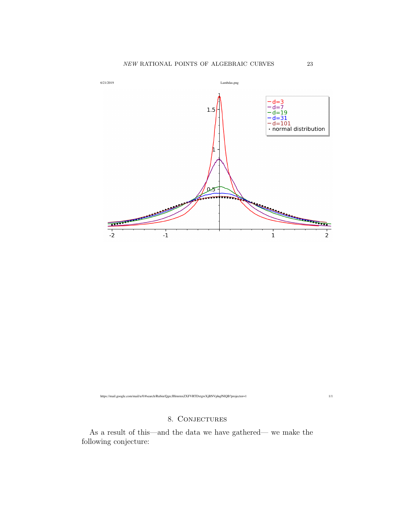

https://mail.google.com/mail/u/0/#search/Rubin/QgrcJHrnrmxZXFVRTDxtgwXjBNVphqfNlQB?projector=1 1/1

### 8. CONJECTURES

<span id="page-22-0"></span>As a result of this—and the data we have gathered— we make the following conjecture: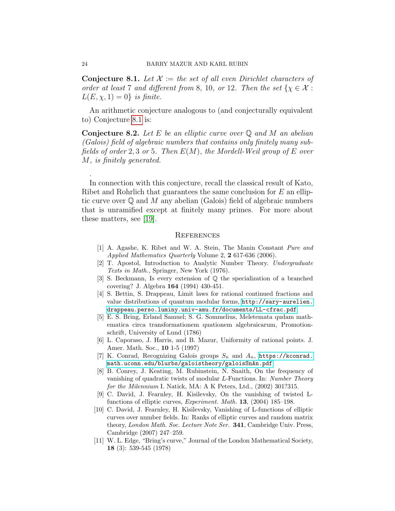<span id="page-23-10"></span>**Conjecture 8.1.** Let  $\mathcal{X} :=$  the set of all even Dirichlet characters of order at least 7 and different from 8, 10, or 12. Then the set  $\{\chi \in \mathcal{X} :$  $L(E, \chi, 1) = 0$  is finite.

An arithmetic conjecture analogous to (and conjecturally equivalent to) Conjecture [8.1](#page-23-10) is:

**Conjecture 8.2.** Let E be an elliptic curve over  $\mathbb Q$  and M an abelian (Galois) field of algebraic numbers that contains only finitely many subfields of order 2, 3 or 5. Then  $E(M)$ , the Mordell-Weil group of E over M, is finitely generated.

In connection with this conjecture, recall the classical result of Kato, Ribet and Rohrlich that guarantees the same conclusion for  $E$  an elliptic curve over  $\mathbb Q$  and M any abelian (Galois) field of algebraic numbers that is unramified except at finitely many primes. For more about these matters, see [\[19\]](#page-24-10).

#### <span id="page-23-0"></span>**REFERENCES**

- <span id="page-23-9"></span>[1] A. Agashe, K. Ribet and W. A. Stein, The Manin Constant Pure and Applied Mathematics Quarterly Volume 2, 2 617-636 (2006).
- [2] T. Apostol, Introduction to Analytic Number Theory. Undergraduate Texts in Math., Springer, New York (1976).
- <span id="page-23-5"></span>[3] S. Beckmann, Is every extension of Q the specialization of a branched covering? J. Algebra 164 (1994) 430-451.
- <span id="page-23-8"></span>[4] S. Bettin, S. Drappeau, Limit laws for rational continued fractions and value distributions of quantum modular forms, [http://sary-aurelien.](http://sary-aurelien.drappeau.perso.luminy.univ-amu.fr/documents/LL-cfrac.pdf) [drappeau.perso.luminy.univ-amu.fr/documents/LL-cfrac.pdf](http://sary-aurelien.drappeau.perso.luminy.univ-amu.fr/documents/LL-cfrac.pdf)
- <span id="page-23-6"></span>[5] E. S. Bring, Erland Samuel; S. G. Sommelius, Meletemata qudam mathematica circa transformationem quationem algebraicarum, Promotionschrift, University of Lund (1786)
- <span id="page-23-1"></span>[6] L. Caporaso, J. Harris, and B. Mazur, Uniformity of rational points. J. Amer. Math. Soc., 10 1-5 (1997)
- [7] K. Conrad, Recognizing Galois groups  $S_n$  and  $A_n$ , [https://kconrad.](https://kconrad.math.uconn.edu/blurbs/galoistheory/galoisSnAn.pdf) [math.uconn.edu/blurbs/galoistheory/galoisSnAn.pdf](https://kconrad.math.uconn.edu/blurbs/galoistheory/galoisSnAn.pdf)
- <span id="page-23-2"></span>[8] B. Conrey, J. Keating, M. Rubinstein, N. Snaith, On the frequency of vanishing of quadratic twists of modular L-Functions. In: Number Theory for the Milennium I. Natick, MA: A K Peters, Ltd., (2002) 301?315.
- <span id="page-23-3"></span>[9] C. David, J. Fearnley, H. Kisilevsky, On the vanishing of twisted Lfunctions of elliptic curves, Experiment. Math. 13, (2004) 185–198.
- <span id="page-23-4"></span>[10] C. David, J. Fearnley, H. Kisilevsky, Vanishing of L-functions of elliptic curves over number fields. In: Ranks of elliptic curves and random matrix theory, London Math. Soc. Lecture Note Ser. 341, Cambridge Univ. Press, Cambridge (2007) 247–259.
- <span id="page-23-7"></span>[11] W. L. Edge, "Bring's curve," Journal of the London Mathematical Society, 18 (3): 539-545 (1978)

.